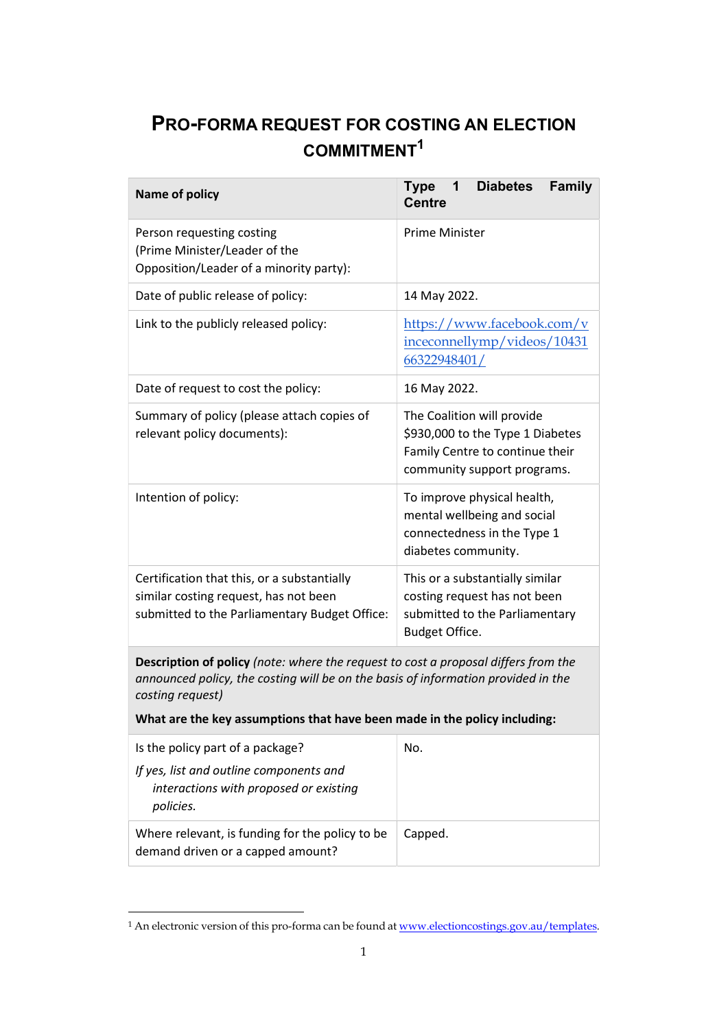## PRO-FORMA REQUEST FOR COSTING AN ELECTION COMMITMENT<sup>1</sup>

| <b>Name of policy</b>                                                                                                                                                                       | <b>Diabetes</b><br><b>Family</b><br><b>Type</b><br>1<br><b>Centre</b>                                                            |
|---------------------------------------------------------------------------------------------------------------------------------------------------------------------------------------------|----------------------------------------------------------------------------------------------------------------------------------|
| Person requesting costing<br>(Prime Minister/Leader of the<br>Opposition/Leader of a minority party):                                                                                       | Prime Minister                                                                                                                   |
| Date of public release of policy:                                                                                                                                                           | 14 May 2022.                                                                                                                     |
| Link to the publicly released policy:                                                                                                                                                       | https://www.facebook.com/v<br>inceconnellymp/videos/10431<br>66322948401/                                                        |
| Date of request to cost the policy:                                                                                                                                                         | 16 May 2022.                                                                                                                     |
| Summary of policy (please attach copies of<br>relevant policy documents):                                                                                                                   | The Coalition will provide<br>\$930,000 to the Type 1 Diabetes<br>Family Centre to continue their<br>community support programs. |
| Intention of policy:                                                                                                                                                                        | To improve physical health,<br>mental wellbeing and social<br>connectedness in the Type 1<br>diabetes community.                 |
| Certification that this, or a substantially<br>similar costing request, has not been<br>submitted to the Parliamentary Budget Office:                                                       | This or a substantially similar<br>costing request has not been<br>submitted to the Parliamentary<br>Budget Office.              |
| Description of policy (note: where the request to cost a proposal differs from the<br>announced policy, the costing will be on the basis of information provided in the<br>costing request) |                                                                                                                                  |

What are the key assumptions that have been made in the policy including:

| Is the policy part of a package?                                                               | No.     |
|------------------------------------------------------------------------------------------------|---------|
| If yes, list and outline components and<br>interactions with proposed or existing<br>policies. |         |
| Where relevant, is funding for the policy to be<br>demand driven or a capped amount?           | Capped. |

<sup>&</sup>lt;sup>1</sup> An electronic version of this pro-forma can be found at <u>www.electioncostings.gov.au/templates</u>.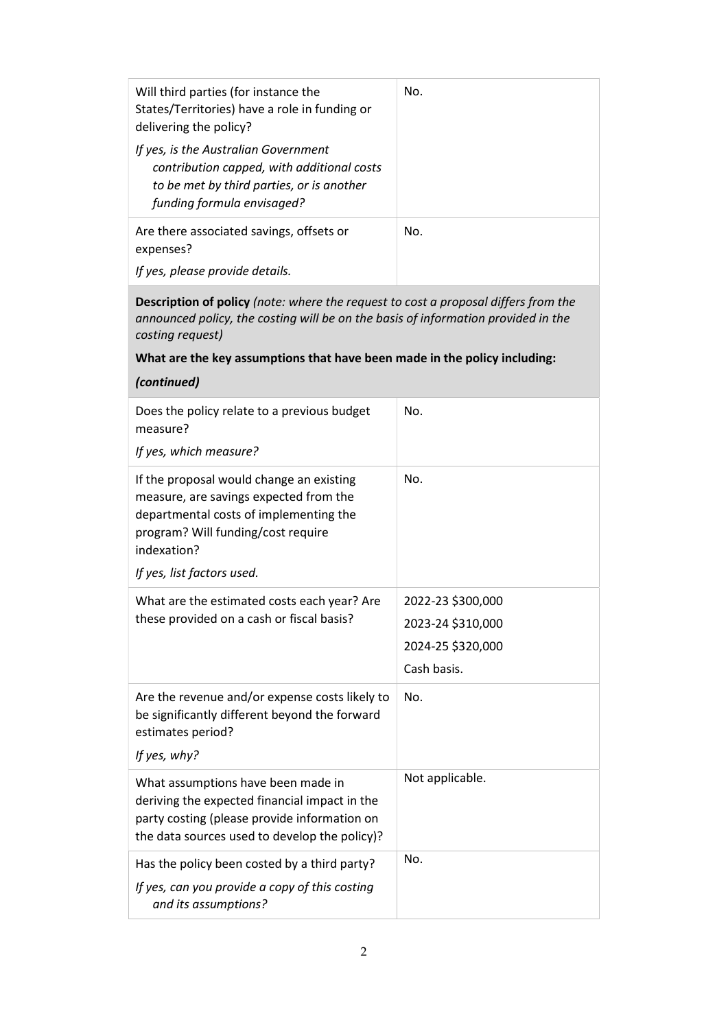| Will third parties (for instance the<br>States/Territories) have a role in funding or<br>delivering the policy?                                               | No. |
|---------------------------------------------------------------------------------------------------------------------------------------------------------------|-----|
| If yes, is the Australian Government<br>contribution capped, with additional costs<br>to be met by third parties, or is another<br>funding formula envisaged? |     |
| Are there associated savings, offsets or<br>expenses?                                                                                                         | No. |
| If yes, please provide details.                                                                                                                               |     |

Description of policy (note: where the request to cost a proposal differs from the announced policy, the costing will be on the basis of information provided in the costing request)

## What are the key assumptions that have been made in the policy including:

| (continued)                                                                                                                                                                                                     |                   |
|-----------------------------------------------------------------------------------------------------------------------------------------------------------------------------------------------------------------|-------------------|
| Does the policy relate to a previous budget<br>measure?                                                                                                                                                         | No.               |
| If yes, which measure?                                                                                                                                                                                          |                   |
| If the proposal would change an existing<br>measure, are savings expected from the<br>departmental costs of implementing the<br>program? Will funding/cost require<br>indexation?<br>If yes, list factors used. | No.               |
|                                                                                                                                                                                                                 | 2022-23 \$300,000 |
| What are the estimated costs each year? Are<br>these provided on a cash or fiscal basis?                                                                                                                        | 2023-24 \$310,000 |
|                                                                                                                                                                                                                 | 2024-25 \$320,000 |
|                                                                                                                                                                                                                 | Cash basis.       |
| Are the revenue and/or expense costs likely to<br>be significantly different beyond the forward<br>estimates period?<br>If yes, why?                                                                            | No.               |
| What assumptions have been made in<br>deriving the expected financial impact in the<br>party costing (please provide information on<br>the data sources used to develop the policy)?                            | Not applicable.   |
| Has the policy been costed by a third party?<br>If yes, can you provide a copy of this costing<br>and its assumptions?                                                                                          | No.               |